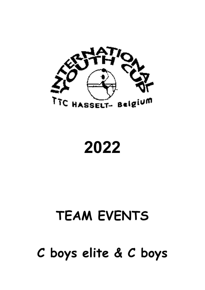

2022

# TEAM EVENTS

C boys elite & C boys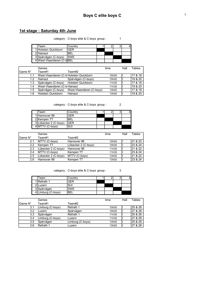### 1st stage : Saturday 4th June

category : C-boys elite & C-boys group : 1

| Team                      | Countrv     |  |  |
|---------------------------|-------------|--|--|
| 1 Holstein Quickborn      | GFR         |  |  |
| 2 Hainaut                 | 'BFI        |  |  |
| 3 Spårvägen (C-boys)      | <b>ISWF</b> |  |  |
| 4 West-Vlaanderen (C-bBEL |             |  |  |

|               | Games                                   |                          | time               | Hall | Tables  |
|---------------|-----------------------------------------|--------------------------|--------------------|------|---------|
| Game N°       | Team#1                                  | Team#2                   |                    |      |         |
| 1.1           | West-Vlaanderen (C-b Holstein Quickborn |                          | 10 <sub>h</sub> 00 |      | 17 & 18 |
| 1.2           | Hainaut                                 | Spårvägen (C-boys)       | 10h00              |      | 19 & 20 |
| 1.3           | Spårvägen (C-boys)                      | Holstein Quickborn       | 11h30              |      | 17 & 18 |
| 1.4           | West-Vlaanderen (C-b Hainaut            |                          | 11h30              |      | 19 & 20 |
| $1.5^{\circ}$ | Spårvägen (C-boys)                      | West-Vlaanderen (C-boys) | 13h00              |      | 17 & 18 |
| 1.6           | Holstein Quickborn                      | Hainaut                  | 13h00              |      | 19 & 20 |

category : C-boys elite & C-boys group : 2

| Team                  | Countrv    |  |  |
|-----------------------|------------|--|--|
| 1 Hannover 96         | GFR        |  |  |
| 2 Kempen TT           | <b>BEL</b> |  |  |
| 3 Lübecker 2 (C-boys) | GFR        |  |  |
| 4 MTTV (C-boys)       | SUI        |  |  |

|         | Games               |                     | time  | Hall | Tables  |
|---------|---------------------|---------------------|-------|------|---------|
| Game N° | Team#1              | Team#2              |       |      |         |
| 2.1     | MTTV (C-boys)       | Hannover 96         | 10h00 |      | 21 & 22 |
| 2.2     | Kempen TT           | Lübecker 2 (C-boys) | 10h00 |      | 23 & 24 |
| 2.3     | Lübecker 2 (C-boys) | Hannover 96         | 11h30 |      | 21 & 22 |
| 2.4     | MTTV (C-boys)       | Kempen TT           | 11h30 |      | 23 & 24 |
| 2.5     | Lübecker 2 (C-boys) | MTTV (C-boys)       | 13h00 |      | 21 & 22 |
| 2.6     | Hannover 96         | Kempen TT           | 13h00 |      | 23 & 24 |

category : C-boys elite & C-boys group : 3

| Team               | Country    |  |  |
|--------------------|------------|--|--|
| 1 Refrath 1        | GER        |  |  |
| 2ILuzern           | SUI        |  |  |
| 3 Spårvägen        | <b>SWE</b> |  |  |
| 4 Limburg (C-boys) | ⊾⊐?        |  |  |

|         | Games            |                  | time  | Hall | Tables  |
|---------|------------------|------------------|-------|------|---------|
| Game N° | Team#1           | Team#2           |       |      |         |
| 3.1     | Limburg (C-boys) | Refrath 1        | 10h00 |      | 25 & 26 |
| 3.2     | Luzern           | Spårvägen        | 10h00 |      | 27 & 28 |
| 3.3     | Spårvägen        | Refrath 1        | 11h30 |      | 25 & 26 |
| 3.4     | Limburg (C-boys) | Luzern           | 11h30 |      | 27 & 28 |
| 3.5     | Spårvägen        | Limburg (C-boys) | 13h00 |      | 25 & 26 |
| 3.6     | Refrath 1        | Luzern           | 13h00 |      | 27 & 28 |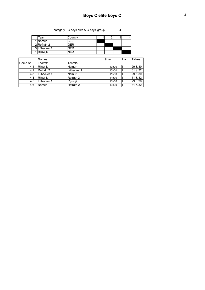category : C-boys elite & C-boys group : 4

Team Country 1 2 3 4 1 Namur BEL 2 Refrath 2 GER 3Lübecker 1 GER 4 Rijswijk NED

|         | Games           |            | time  | Hall | Tables  |
|---------|-----------------|------------|-------|------|---------|
| Game N° | Team#1          | Team#2     |       |      |         |
| 4.1     | <b>Riiswiik</b> | Namur      | 10h00 |      | 29 & 30 |
| 4.2     | Refrath 2       | Lübecker 1 | 10h00 |      | 31 & 32 |
| 4.3     | Lübecker 1      | Namur      | 11h30 |      | 29 & 30 |
| 4.4     | <b>Riiswiik</b> | Refrath 2  | 11h30 |      | 31 & 32 |
| 4.5     | Lübecker 1      | Rijswijk   | 13h00 |      | 29 & 30 |
| 4.6     | Namur           | Refrath 2  | 13h00 |      | 31 & 32 |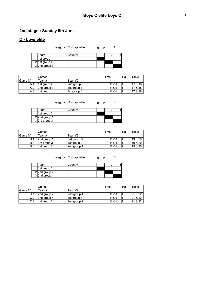### 2nd stage : Sunday 5th June

#### C - boys elite

category : C - boys elite group : A

| Team          | Country |  |  |
|---------------|---------|--|--|
| 1 1st group 1 |         |  |  |
| 2 1st group 4 |         |  |  |
| 32nd group 3  |         |  |  |

|                 | Games       |             | time  | Hall | Table    |
|-----------------|-------------|-------------|-------|------|----------|
| <b>IGame N°</b> | Team#1      | Team#2      |       |      |          |
| A.1             | 1st group 4 | 2nd group 3 | 10h00 |      | l17 & 18 |
| A.2             | 2nd group 3 | 1st group 1 | 11h30 |      | 17 & 18  |
| A.3             | 1st group 1 | 1st group 4 | 13h00 |      | 17 & 18  |

category : C - boys elite group : B

| Team          | Country |  |  |
|---------------|---------|--|--|
| 1 1st group 2 |         |  |  |
| 2 2nd group 1 |         |  |  |
| 3 3rd group 3 |         |  |  |

|          | Games       |             | time  | Hall | Table   |
|----------|-------------|-------------|-------|------|---------|
| lGame N° | Team#1      | Team#2      |       |      |         |
| B.1      | 2nd group 1 | 3rd group 3 | 10h00 |      | 19 & 20 |
| B.2      | 3rd group 3 | 1st group 2 | 11h30 |      | 19 & 20 |
| B.3      | 1st group 2 | 2nd group 1 | 13h00 |      | 19 & 20 |

category : C - boys elite group : C

| Team             | Countrv |  |  |
|------------------|---------|--|--|
| 1 1st group 3    |         |  |  |
| $2$  2nd group 2 |         |  |  |
| $3$  2nd group 4 |         |  |  |

|                  | Games       |             | time  | Hall | <b>Table</b> |
|------------------|-------------|-------------|-------|------|--------------|
| <b>I</b> Game N° | ⊤eam#1      | Team#2      |       |      |              |
| C.1              | 2nd group 2 | 2nd group 4 | 10h00 |      | 21 & 22      |
| C.2              | 2nd group 4 | 1st group 3 | 11h30 |      | 21 & 22      |
| C.3              | 1st group 3 | 2nd group 2 | 13h00 |      | & 22         |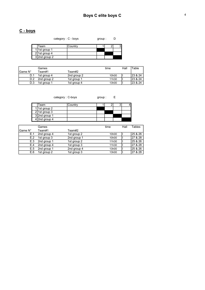### C - boys

category : C - boys group : D

| Team          | Country |  |  |
|---------------|---------|--|--|
| 1 1st group 1 |         |  |  |
| 2 1st group 4 |         |  |  |
| 32nd group 2  |         |  |  |

|          | Games       |             | time  | Hall | Table    |
|----------|-------------|-------------|-------|------|----------|
| IGame N° | Team#1      | ⊤eam#2      |       |      |          |
| D.1      | 1st group 4 | 2nd group 2 | 10h00 |      | 23 & 24  |
| D.2      | 2nd group 2 | 1st group 1 | 11h30 |      | 23 & 24  |
| D.3      | 1st group 1 | 1st group 4 | 13h00 |      | 123 & 24 |

category : C-boys group : E

| Team              | Country |  |  |
|-------------------|---------|--|--|
| 1 1st group 2     |         |  |  |
| $2$   1st group 3 |         |  |  |
| 32nd group 1      |         |  |  |
| $4$  2nd group 4  |         |  |  |

|         | Games       |             | time  | Hall | Tables  |
|---------|-------------|-------------|-------|------|---------|
| Game N° | Team#1      | Team#2      |       |      |         |
| E.1     | 2nd group 4 | 1st group 2 | 10h00 |      | 25 & 26 |
| E.2     | 1st group 3 | 2nd group 1 | 10h00 |      | 27 & 28 |
| E.3     | 2nd group 1 | 1st group 2 | 11h30 |      | 25 & 26 |
| E.4     | 2nd group 4 | 1st group 3 | 11h30 |      | 27 & 28 |
| E.5     | 2nd group 1 | 2nd group 4 | 13h00 |      | 25 & 26 |
| E.6     | 1st group 2 | 1st group 3 | 13h00 |      | 27 & 28 |